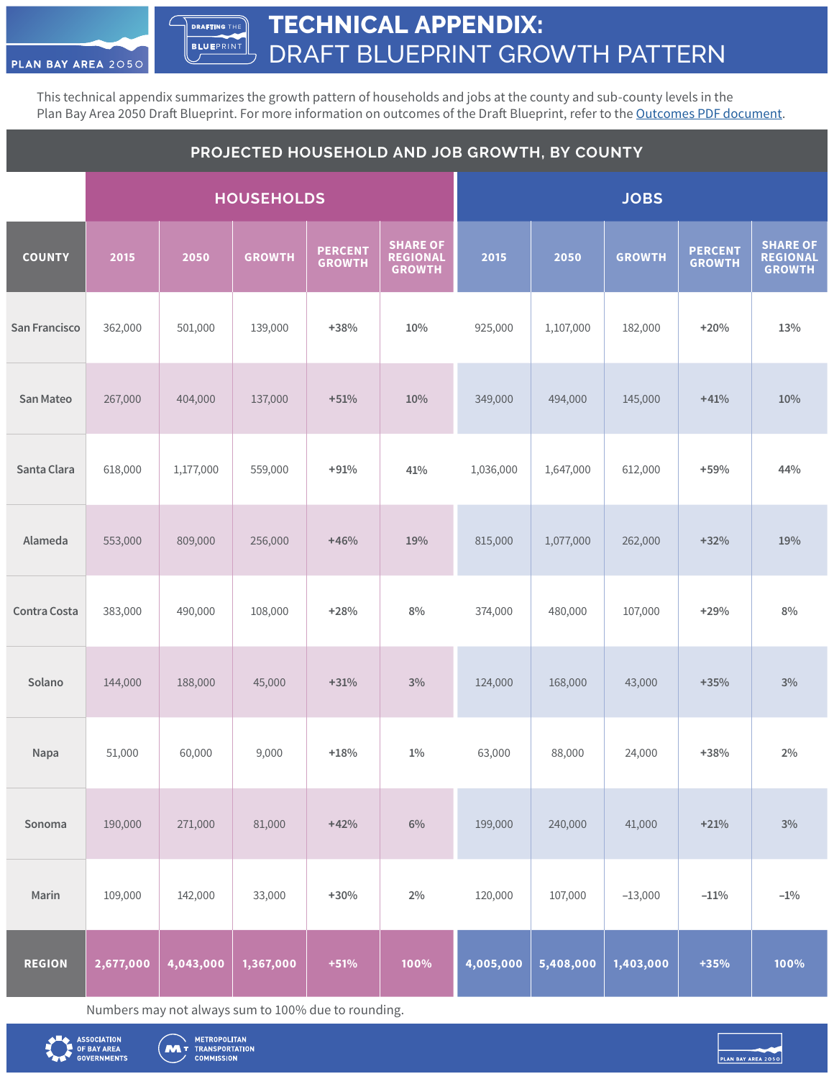**TECHNICAL APPENDIX:** DRAFT BLUEPRINT GROWTH PATTERN **DRAFTING** THE **BLUE**PRINT

This technical appendix summarizes the growth pattern of households and jobs at the county and sub-county levels in the Plan Bay Area 2050 Draft Blueprint. For more information on outcomes of the Draft Blueprint, refer to the [Outcomes PDF document.](https://www.planbayarea.org/sites/default/files/pdfs_referenced/PBA2050_Draft_BPOutcomes_071720.pdf)

| PROJECTED HOUSEHOLD AND JOB GROWTH, BY COUNTY |           |           |                   |                                 |                                                     |             |           |               |                                 |                                                     |
|-----------------------------------------------|-----------|-----------|-------------------|---------------------------------|-----------------------------------------------------|-------------|-----------|---------------|---------------------------------|-----------------------------------------------------|
|                                               |           |           | <b>HOUSEHOLDS</b> |                                 |                                                     | <b>JOBS</b> |           |               |                                 |                                                     |
| <b>COUNTY</b>                                 | 2015      | 2050      | <b>GROWTH</b>     | <b>PERCENT</b><br><b>GROWTH</b> | <b>SHARE OF</b><br><b>REGIONAL</b><br><b>GROWTH</b> | 2015        | 2050      | <b>GROWTH</b> | <b>PERCENT</b><br><b>GROWTH</b> | <b>SHARE OF</b><br><b>REGIONAL</b><br><b>GROWTH</b> |
| San Francisco                                 | 362,000   | 501,000   | 139,000           | $+38%$                          | $10\%$                                              | 925,000     | 1,107,000 | 182,000       | $+20%$                          | 13%                                                 |
| <b>San Mateo</b>                              | 267,000   | 404,000   | 137,000           | $+51%$                          | 10%                                                 | 349,000     | 494,000   | 145,000       | $+41%$                          | 10%                                                 |
| Santa Clara                                   | 618,000   | 1,177,000 | 559,000           | $+91%$                          | 41%                                                 | 1,036,000   | 1,647,000 | 612,000       | $+59%$                          | 44%                                                 |
| Alameda                                       | 553,000   | 809,000   | 256,000           | $+46%$                          | 19%                                                 | 815,000     | 1,077,000 | 262,000       | $+32%$                          | 19%                                                 |
| <b>Contra Costa</b>                           | 383,000   | 490,000   | 108,000           | $+28%$                          | 8%                                                  | 374,000     | 480,000   | 107,000       | $+29%$                          | 8%                                                  |
| Solano                                        | 144,000   | 188,000   | 45,000            | $+31%$                          | 3%                                                  | 124,000     | 168,000   | 43,000        | $+35%$                          | 3%                                                  |
| Napa                                          | 51,000    | 60,000    | 9,000             | $+18%$                          | $1\%$                                               | 63,000      | 88,000    | 24,000        | $+38%$                          | 2%                                                  |
| Sonoma                                        | 190,000   | 271,000   | 81,000            | $+42%$                          | $6\%$                                               | 199,000     | 240,000   | 41,000        | $+21%$                          | $3\%$                                               |
| Marin                                         | 109,000   | 142,000   | 33,000            | $+30%$                          | $2\%$                                               | 120,000     | 107,000   | $-13,000$     | $-11%$                          | $-1\%$                                              |
| <b>REGION</b>                                 | 2,677,000 | 4,043,000 | 1,367,000         | $+51%$                          | 100%                                                | 4,005,000   | 5,408,000 | 1,403,000     | $+35%$                          | 100%                                                |

Numbers may not always sum to 100% due to rounding.



PLAN BAY AREA 2050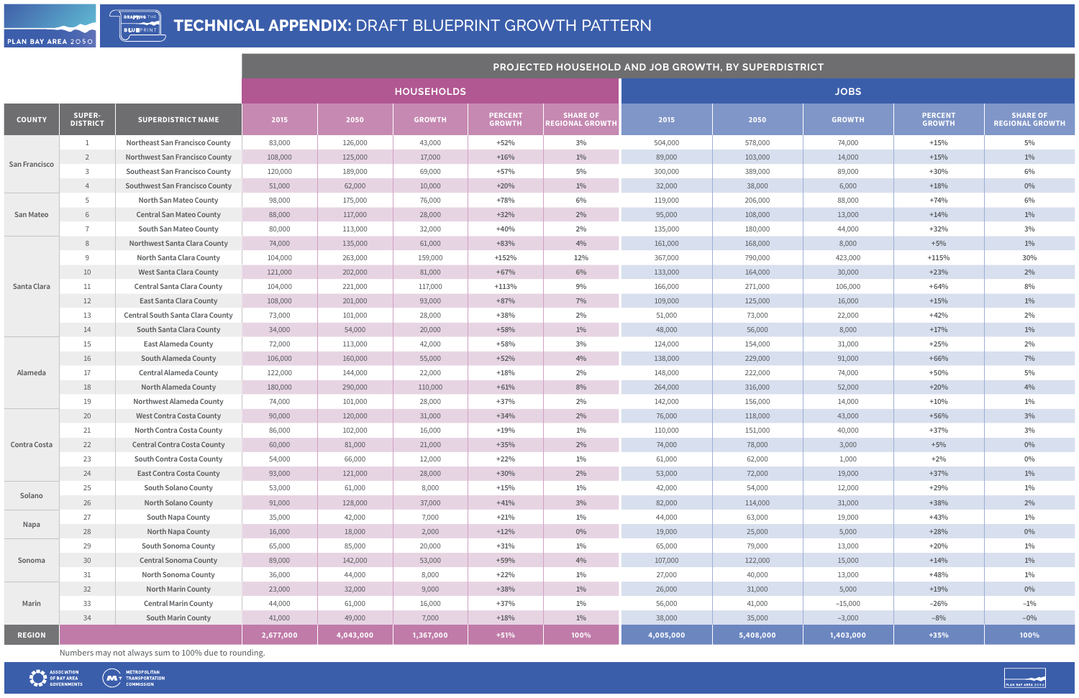|               |                                  |                                         | <b>PROJECTED HOUSEHOLD AND JOB GROWTH, BY SUPERDISTRICT</b> |           |                   |                                 |                                           |           |           |               |                                 |                                           |
|---------------|----------------------------------|-----------------------------------------|-------------------------------------------------------------|-----------|-------------------|---------------------------------|-------------------------------------------|-----------|-----------|---------------|---------------------------------|-------------------------------------------|
|               |                                  |                                         |                                                             |           | <b>HOUSEHOLDS</b> |                                 |                                           |           |           | <b>JOBS</b>   |                                 |                                           |
| <b>COUNTY</b> | <b>SUPER-</b><br><b>DISTRICT</b> | <b>SUPERDISTRICT NAME</b>               | 2015                                                        | 2050      | <b>GROWTH</b>     | <b>PERCENT</b><br><b>GROWTH</b> | <b>SHARE OF</b><br><b>REGIONAL GROWTH</b> | 2015      | 2050      | <b>GROWTH</b> | <b>PERCENT</b><br><b>GROWTH</b> | <b>SHARE OF</b><br><b>REGIONAL GROWTH</b> |
|               |                                  | <b>Northeast San Francisco County</b>   | 83,000                                                      | 126,000   | 43,000            | $+52%$                          | $3\%$                                     | 504,000   | 578,000   | 74,000        | $+15%$                          | 5%                                        |
|               | $2\overline{ }$                  | <b>Northwest San Francisco County</b>   | 108,000                                                     | 125,000   | 17,000            | $+16%$                          | $1\%$                                     | 89,000    | 103,000   | 14,000        | $+15%$                          | $1\%$                                     |
| San Francisco | 3                                | <b>Southeast San Francisco County</b>   | 120,000                                                     | 189,000   | 69,000            | $+57%$                          | $5\%$                                     | 300,000   | 389,000   | 89,000        | $+30%$                          | $6\%$                                     |
|               | 4                                | <b>Southwest San Francisco County</b>   | 51,000                                                      | 62,000    | 10,000            | $+20%$                          | $1\%$                                     | 32,000    | 38,000    | 6,000         | $+18%$                          | $0\%$                                     |
|               | 5                                | North San Mateo County                  | 98,000                                                      | 175,000   | 76,000            | $+78%$                          | 6%                                        | 119,000   | 206,000   | 88,000        | $+74%$                          | $6\%$                                     |
| San Mateo     | 6                                | <b>Central San Mateo County</b>         | 88,000                                                      | 117,000   | 28,000            | $+32%$                          | $2\%$                                     | 95,000    | 108,000   | 13,000        | $+14%$                          | $1\%$                                     |
|               |                                  | South San Mateo County                  | 80,000                                                      | 113,000   | 32,000            | $+40%$                          | 2%                                        | 135,000   | 180,000   | 44,000        | $+32%$                          | $3\%$                                     |
|               | 8                                | <b>Northwest Santa Clara County</b>     | 74,000                                                      | 135,000   | 61,000            | $+83%$                          | 4%                                        | 161,000   | 168,000   | 8,000         | $+5%$                           | $1\%$                                     |
|               | 9                                | North Santa Clara County                | 104,000                                                     | 263,000   | 159,000           | $+152%$                         | 12%                                       | 367,000   | 790,000   | 423,000       | $+115%$                         | 30%                                       |
|               | 10                               | <b>West Santa Clara County</b>          | 121,000                                                     | 202,000   | 81,000            | $+67%$                          | $6\%$                                     | 133,000   | 164,000   | 30,000        | $+23%$                          | $2\%$                                     |
| Santa Clara   | 11                               | <b>Central Santa Clara County</b>       | 104,000                                                     | 221,000   | 117,000           | $+113%$                         | $9\%$                                     | 166,000   | 271,000   | 106,000       | $+64%$                          | 8%                                        |
|               | 12                               | <b>East Santa Clara County</b>          | 108,000                                                     | 201,000   | 93,000            | $+87%$                          | 7%                                        | 109,000   | 125,000   | 16,000        | $+15%$                          | $1\%$                                     |
|               | 13                               | <b>Central South Santa Clara County</b> | 73,000                                                      | 101,000   | 28,000            | $+38%$                          | 2%                                        | 51,000    | 73,000    | 22,000        | $+42%$                          | 2%                                        |
|               | 14                               | South Santa Clara County                | 34,000                                                      | 54,000    | 20,000            | $+58%$                          | $1\%$                                     | 48,000    | 56,000    | 8,000         | $+17%$                          | $1\%$                                     |
|               | 15                               | <b>East Alameda County</b>              | 72,000                                                      | 113,000   | 42,000            | $+58%$                          | 3%                                        | 124,000   | 154,000   | 31,000        | $+25%$                          | 2%                                        |
|               | 16                               | South Alameda County                    | 106,000                                                     | 160,000   | 55,000            | $+52%$                          | 4%                                        | 138,000   | 229,000   | 91,000        | $+66%$                          | 7%                                        |
| Alameda       | 17                               | Central Alameda County                  | 122,000                                                     | 144,000   | 22,000            | $+18%$                          | 2%                                        | 148,000   | 222,000   | 74,000        | $+50%$                          | $5\%$                                     |
|               | 18                               | North Alameda County                    | 180,000                                                     | 290,000   | 110,000           | $+61%$                          | $8\%$                                     | 264,000   | 316,000   | 52,000        | $+20%$                          | 4%                                        |
|               | 19                               | Northwest Alameda County                | 74,000                                                      | 101,000   | 28,000            | $+37%$                          | 2%                                        | 142,000   | 156,000   | 14,000        | $+10%$                          | $1\%$                                     |
|               | 20                               | <b>West Contra Costa County</b>         | 90,000                                                      | 120,000   | 31,000            | $+34%$                          | $2\%$                                     | 76,000    | 118,000   | 43,000        | $+56%$                          | 3%                                        |
|               | 21                               | North Contra Costa County               | 86,000                                                      | 102,000   | 16,000            | $+19%$                          | $1\%$                                     | 110,000   | 151,000   | 40,000        | $+37%$                          | $3\%$                                     |
| Contra Costa  | 22                               | <b>Central Contra Costa County</b>      | 60,000                                                      | 81,000    | 21,000            | $+35%$                          | $2\%$                                     | 74,000    | 78,000    | 3,000         | $+5%$                           | $0\%$                                     |
|               | 23                               | South Contra Costa County               | 54,000                                                      | 66,000    | 12,000            | $+22%$                          | $1\%$                                     | 61,000    | 62,000    | 1,000         | $+2%$                           | $0\%$                                     |
|               | 24                               | <b>East Contra Costa County</b>         | 93,000                                                      | 121,000   | 28,000            | $+30%$                          | $2\%$                                     | 53,000    | 72,000    | 19,000        | $+37%$                          | $1\%$                                     |
| Solano        | 25                               | <b>South Solano County</b>              | 53,000                                                      | 61,000    | 8,000             | $+15%$                          | $1\%$                                     | 42,000    | 54,000    | 12,000        | $+29%$                          | $1\%$                                     |
|               | 26                               | North Solano County                     | 91,000                                                      | 128,000   | 37,000            | $+41%$                          | $3\%$                                     | 82,000    | 114,000   | 31,000        | $+38%$                          | $2\%$                                     |
|               | 27                               | South Napa County                       | 35,000                                                      | 42,000    | 7,000             | $+21%$                          | $1\%$                                     | 44,000    | 63,000    | 19,000        | $+43%$                          | $1\%$                                     |
| Napa          | 28                               | North Napa County                       | 16,000                                                      | 18,000    | 2,000             | $+12%$                          | $0\%$                                     | 19,000    | 25,000    | 5,000         | $+28%$                          | $0\%$                                     |
|               | 29                               | <b>South Sonoma County</b>              | 65,000                                                      | 85,000    | 20,000            | $+31%$                          | $1\%$                                     | 65,000    | 79,000    | 13,000        | $+20%$                          | $1\%$                                     |
| Sonoma        | 30                               | <b>Central Sonoma County</b>            | 89,000                                                      | 142,000   | 53,000            | $+59%$                          | 4%                                        | 107,000   | 122,000   | 15,000        | $+14%$                          | $1\%$                                     |
|               | 31                               | North Sonoma County                     | 36,000                                                      | 44,000    | 8,000             | $+22%$                          | $1\%$                                     | 27,000    | 40,000    | 13,000        | $+48%$                          | $1\%$                                     |
|               | 32                               | North Marin County                      | 23,000                                                      | 32,000    | 9,000             | $+38%$                          | $1\%$                                     | 26,000    | 31,000    | 5,000         | $+19%$                          | $0\%$                                     |
| Marin         | 33                               | <b>Central Marin County</b>             | 44,000                                                      | 61,000    | 16,000            | $+37%$                          | $1\%$                                     | 56,000    | 41,000    | $-15,000$     | $-26%$                          | $-1\%$                                    |
|               | 34                               | South Marin County                      | 41,000                                                      | 49,000    | 7,000             | $+18%$                          | $1\%$                                     | 38,000    | 35,000    | $-3,000$      | $-8%$                           | $-0\%$                                    |
| <b>REGION</b> |                                  |                                         | 2,677,000                                                   | 4,043,000 | 1,367,000         | $+51%$                          | 100%                                      | 4,005,000 | 5,408,000 | 1,403,000     | $+35%$                          | 100%                                      |



Numbers may not always sum to 100% due to rounding.